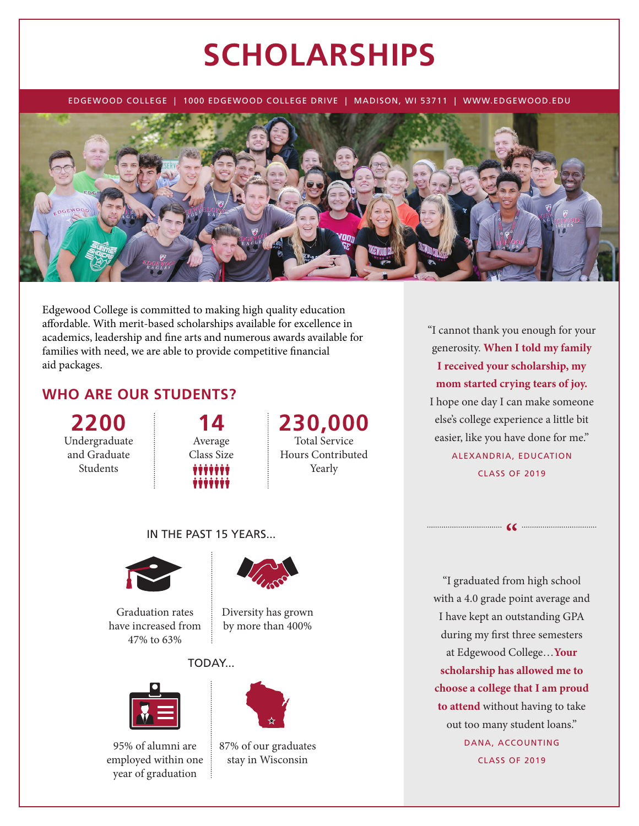# **SCHOLARSHIPS**

EDGEWOOD COLLEGE | 1000 EDGEWOOD COLLEGE DRIVE | MADISON, WI 53711 | WWW.EDGEWOOD.EDU



Edgewood College is committed to making high quality education affordable. With merit-based scholarships available for excellence in academics, leadership and fine arts and numerous awards available for families with need, we are able to provide competitive financial aid packages.

## **WHO ARE OUR STUDENTS?**

**2200** Undergraduate and Graduate Students



### **230,000** Total Service Hours Contributed Yearly

"I cannot thank you enough for your generosity. **When I told my family I received your scholarship, my mom started crying tears of joy.** I hope one day I can make someone else's college experience a little bit easier, like you have done for me." ALEXANDRIA, EDUCATION CLASS OF 2019

 $\bullet$ 

#### IN THE PAST 15 YEARS...



Graduation rates have increased from 47% to 63%



Diversity has grown by more than 400%

#### TODAY...



95% of alumni are employed within one year of graduation



87% of our graduates stay in Wisconsin

"I graduated from high school with a 4.0 grade point average and I have kept an outstanding GPA during my first three semesters at Edgewood College…**Your scholarship has allowed me to choose a college that I am proud to attend** without having to take out too many student loans." DANA, ACCOUNTING CLASS OF 2019